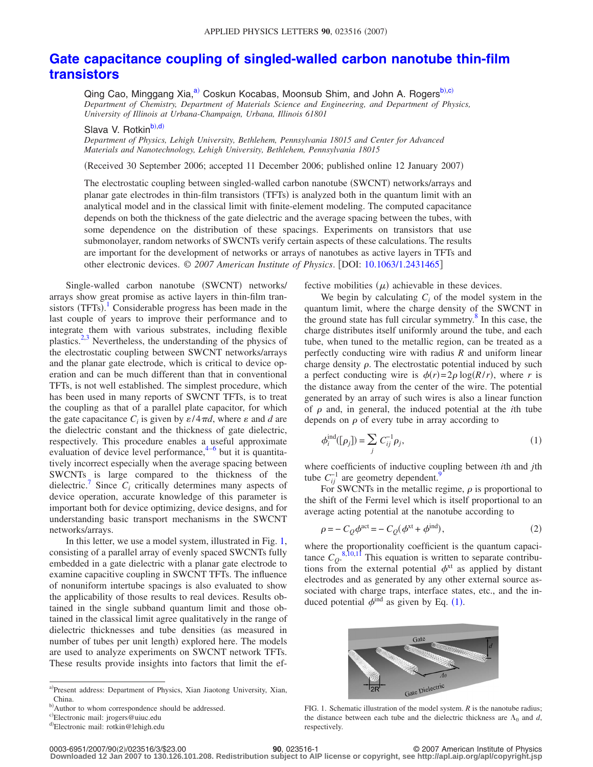## **[Gate capacitance coupling of singled-walled carbon nanotube thin-film](http://dx.doi.org/10.1063/1.2431465) [transistors](http://dx.doi.org/10.1063/1.2431465)**

Qing Cao, Minggang Xia,<sup>a)</sup> Coskun Kocabas, Moonsub Shim, and John A. Rogers<sup>b[,c](#page-0-2))</sup> *Department of Chemistry, Department of Materials Science and Engineering, and Department of Physics, University of Illinois at Urbana-Champaign, Urbana, Illinois 61801*

Slava V. Rotkin<sup>b)[,d](#page-0-3))</sup>

*Department of Physics, Lehigh University, Bethlehem, Pennsylvania 18015 and Center for Advanced Materials and Nanotechnology, Lehigh University, Bethlehem, Pennsylvania 18015*

Received 30 September 2006; accepted 11 December 2006; published online 12 January 2007-

The electrostatic coupling between singled-walled carbon nanotube (SWCNT) networks/arrays and planar gate electrodes in thin-film transistors (TFTs) is analyzed both in the quantum limit with an analytical model and in the classical limit with finite-element modeling. The computed capacitance depends on both the thickness of the gate dielectric and the average spacing between the tubes, with some dependence on the distribution of these spacings. Experiments on transistors that use submonolayer, random networks of SWCNTs verify certain aspects of these calculations. The results are important for the development of networks or arrays of nanotubes as active layers in TFTs and other electronic devices. © *2007 American Institute of Physics*. DOI: [10.1063/1.2431465](http://dx.doi.org/10.1063/1.2431465)

Single-walled carbon nanotube (SWCNT) networks/ arrays show great promise as active layers in thin-film tran-sistors (TFTs).<sup>[1](#page-2-0)</sup> Considerable progress has been made in the last couple of years to improve their performance and to integrate them with various substrates, including flexible plastics. $2,3$  $2,3$  Nevertheless, the understanding of the physics of the electrostatic coupling between SWCNT networks/arrays and the planar gate electrode, which is critical to device operation and can be much different than that in conventional TFTs, is not well established. The simplest procedure, which has been used in many reports of SWCNT TFTs, is to treat the coupling as that of a parallel plate capacitor, for which the gate capacitance  $C_i$  is given by  $\varepsilon/4\pi d$ , where  $\varepsilon$  and  $d$  are the dielectric constant and the thickness of gate dielectric, respectively. This procedure enables a useful approximate evaluation of device level performance,  $4-6$  $4-6$  but it is quantitatively incorrect especially when the average spacing between SWCNTs is large compared to the thickness of the dielectric.<sup>7</sup> Since  $C_i$  critically determines many aspects of device operation, accurate knowledge of this parameter is important both for device optimizing, device designs, and for understanding basic transport mechanisms in the SWCNT networks/arrays.

In this letter, we use a model system, illustrated in Fig. [1,](#page-0-4) consisting of a parallel array of evenly spaced SWCNTs fully embedded in a gate dielectric with a planar gate electrode to examine capacitive coupling in SWCNT TFTs. The influence of nonuniform intertube spacings is also evaluated to show the applicability of those results to real devices. Results obtained in the single subband quantum limit and those obtained in the classical limit agree qualitatively in the range of dielectric thicknesses and tube densities (as measured in number of tubes per unit length) explored here. The models are used to analyze experiments on SWCNT network TFTs. These results provide insights into factors that limit the effective mobilities  $(\mu)$  achievable in these devices.

We begin by calculating  $C_i$  of the model system in the quantum limit, where the charge density of the SWCNT in the ground state has full circular symmetry. $\delta$  In this case, the charge distributes itself uniformly around the tube, and each tube, when tuned to the metallic region, can be treated as a perfectly conducting wire with radius *R* and uniform linear charge density  $\rho$ . The electrostatic potential induced by such a perfect conducting wire is  $\phi(r) = 2\rho \log(R/r)$ , where *r* is the distance away from the center of the wire. The potential generated by an array of such wires is also a linear function of  $\rho$  and, in general, the induced potential at the *i*th tube depends on  $\rho$  of every tube in array according to

<span id="page-0-5"></span>
$$
\phi_i^{\text{ind}}([\rho_j]) = \sum_j C_{ij}^{-1} \rho_j,\tag{1}
$$

where coefficients of inductive coupling between *i*th and *j*th tube  $C_{ij}^{-1}$  are geometry dependent.<sup>9</sup>

For SWCNTs in the metallic regime,  $\rho$  is proportional to the shift of the Fermi level which is itself proportional to an average acting potential at the nanotube according to

$$
\rho = -C_Q \phi^{\text{act}} = -C_Q (\phi^{\text{xt}} + \phi^{\text{ind}}),\tag{2}
$$

where the proportionality coefficient is the quantum capacitance  $C_0$ <sup>[8](#page-2-6)[,10](#page-2-8)[,11](#page-2-9)</sup> This equation is written to separate contributions from the external potential  $\phi^{xt}$  as applied by distant electrodes and as generated by any other external source associated with charge traps, interface states, etc., and the induced potential  $\phi^{\text{ind}}$  as given by Eq. ([1](#page-0-5)).

<span id="page-0-4"></span>

FIG. 1. Schematic illustration of the model system. *R* is the nanotube radius; the distance between each tube and the dielectric thickness are  $\Lambda_0$  and *d*, respectively.

**Downloaded 12 Jan 2007 to 130.126.101.208. Redistribution subject to AIP license or copyright, see http://apl.aip.org/apl/copyright.jsp**

<span id="page-0-2"></span><span id="page-0-1"></span><span id="page-0-0"></span>a)Present address: Department of Physics, Xian Jiaotong University, Xian, China.

<span id="page-0-3"></span>b) Author to whom correspondence should be addressed.

c<sup>)</sup>Electronic mail: jrogers@uiuc.edu

<sup>&</sup>lt;sup>d)</sup>Electronic mail: rotkin@lehigh.edu

**<sup>200</sup>**, 023516-1 © 2007 American Institute of Physics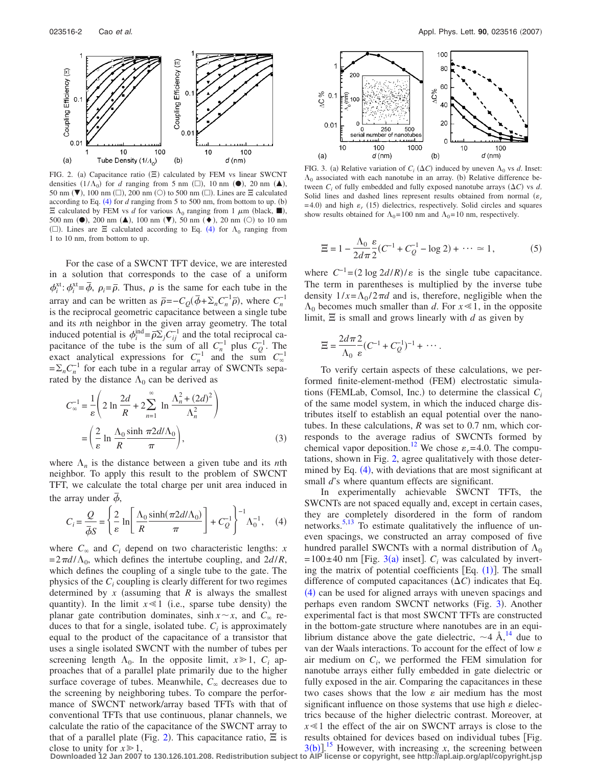<span id="page-1-0"></span>

FIG. 2. (a) Capacitance ratio  $(\Xi)$  calculated by FEM vs linear SWCNT densities  $(1/\Lambda_0)$  for *d* ranging from 5 nm ( $\square$ ), 10 nm ( $\bullet$ ), 20 nm ( $\blacktriangle$ ), 50 nm ( $\nabla$ ), 100 nm ( $\square$ ), 200 nm ( $\square$ ) to 500 nm ( $\square$ ). Lines are  $\Xi$  calculated according to Eq.  $(4)$  $(4)$  $(4)$  for  $d$  ranging from 5 to 500 nm, from bottom to up.  $(b)$  $\Xi$  calculated by FEM vs *d* for various  $\Lambda_0$  ranging from 1  $\mu$ m (black,  $\blacksquare$ ), 500 nm ( $\bullet$ ), 200 nm ( $\blacktriangle$ ), 100 nm ( $\nabla$ ), 50 nm ( $\bullet$ ), 20 nm ( $\odot$ ) to 10 nm ( $\square$ ). Lines are  $\Xi$  calculated according to Eq. ([4](#page-1-1)) for  $\Lambda_0$  ranging from 1 to 10 nm, from bottom to up.

For the case of a SWCNT TFT device, we are interested in a solution that corresponds to the case of a uniform  $\phi_i^{\text{xt}}$ :  $\phi_i^{\text{xt}} = \bar{\phi}$ ,  $\rho_i = \bar{\rho}$ . Thus,  $\rho$  is the same for each tube in the array and can be written as  $\bar{\rho} = -C_Q(\bar{\phi} + \Sigma_n C_n^{-1}\bar{\rho})$ , where  $C_n^{-1}$ is the reciprocal geometric capacitance between a single tube and its *n*th neighbor in the given array geometry. The total induced potential is  $\phi_i^{\text{ind}} = \overline{\rho} \Sigma_j C_{ij}^{-1}$  and the total reciprocal capacitance of the tube is the sum of all  $C_n^{-1}$  plus  $C_Q^{-1}$ . The exact analytical expressions for  $C_n^{-1}$  and the sum  $C_{\infty}^{-1}$  $=\sum_{n}C_{n}^{-1}$  for each tube in a regular array of SWCNTs separated by the distance  $\Lambda_0$  can be derived as

<span id="page-1-3"></span>
$$
C_{\infty}^{-1} = \frac{1}{\varepsilon} \left( 2 \ln \frac{2d}{R} + 2 \sum_{n=1}^{\infty} \ln \frac{\Lambda_n^2 + (2d)^2}{\Lambda_n^2} \right)
$$

$$
= \left( \frac{2}{\varepsilon} \ln \frac{\Lambda_0}{R} \frac{\sinh \pi 2d/\Lambda_0}{\pi} \right), \tag{3}
$$

<span id="page-1-1"></span>where  $\Lambda_n$  is the distance between a given tube and its *n*th neighbor. To apply this result to the problem of SWCNT TFT, we calculate the total charge per unit area induced in the array under  $\phi$ ,

$$
C_i = \frac{Q}{\bar{\phi}S} = \left\{ \frac{2}{\varepsilon} \ln \left[ \frac{\Lambda_0}{R} \frac{\sinh(\pi 2d/\Lambda_0)}{\pi} \right] + C_Q^{-1} \right\}^{-1} \Lambda_0^{-1}, \quad (4)
$$

where  $C_{\infty}$  and  $C_i$  depend on two characteristic lengths: *x*  $= 2\pi d/\Lambda_0$ , which defines the intertube coupling, and  $2d/R$ , which defines the coupling of a single tube to the gate. The physics of the *Ci* coupling is clearly different for two regimes determined by x (assuming that  $R$  is always the smallest quantity). In the limit  $x \ll 1$  (i.e., sparse tube density) the planar gate contribution dominates,  $sinh x \sim x$ , and  $C_{\infty}$  reduces to that for a single, isolated tube.  $C_i$  is approximately equal to the product of the capacitance of a transistor that uses a single isolated SWCNT with the number of tubes per screening length  $\Lambda_0$ . In the opposite limit,  $x \ge 1$ ,  $C_i$  approaches that of a parallel plate primarily due to the higher surface coverage of tubes. Meanwhile,  $C_{\infty}$  decreases due to the screening by neighboring tubes. To compare the performance of SWCNT network/array based TFTs with that of conventional TFTs that use continuous, planar channels, we calculate the ratio of the capacitance of the SWCNT array to that of a parallel plate (Fig. [2](#page-1-0)). This capacitance ratio,  $\Xi$  is close to unity for  $x \ge 1$ .

<span id="page-1-2"></span>

FIG. 3. (a) Relative variation of  $C_i (\Delta C)$  induced by uneven  $\Lambda_0$  vs *d*. Inset:  $\Lambda_0$  associated with each nanotube in an array. (b) Relative difference between  $C_i$  of fully embedded and fully exposed nanotube arrays  $(\Delta C)$  vs *d*. Solid lines and dashed lines represent results obtained from normal  $(\varepsilon_r)$  $=$  4.0) and high  $\varepsilon$ <sub>r</sub> (15) dielectrics, respectively. Solid circles and squares show results obtained for  $\Lambda_0$ = 100 nm and  $\Lambda_0$ = 10 nm, respectively.

$$
\Xi = 1 - \frac{\Lambda_0}{2d\pi} \frac{\varepsilon}{2} (C^{-1} + C_0^{-1} - \log 2) + \dots \simeq 1, \tag{5}
$$

where  $C^{-1} = (2 \log 2d/R)/\varepsilon$  is the single tube capacitance. The term in parentheses is multiplied by the inverse tube density  $1/x = \Lambda_0 / 2\pi d$  and is, therefore, negligible when the  $\Lambda_0$  becomes much smaller than *d*. For  $x \le 1$ , in the opposite limit,  $\Xi$  is small and grows linearly with  $d$  as given by

$$
\Xi = \frac{2d\pi}{\Lambda_0} \frac{2}{\varepsilon} (C^{-1} + C_Q^{-1})^{-1} + \cdots.
$$

To verify certain aspects of these calculations, we performed finite-element-method (FEM) electrostatic simulations (FEMLab, Comsol, Inc.) to determine the classical  $C_i$ of the same model system, in which the induced charge distributes itself to establish an equal potential over the nanotubes. In these calculations, *R* was set to 0.7 nm, which corresponds to the average radius of SWCNTs formed by chemical vapor deposition.<sup>12</sup> We chose  $\varepsilon_r$ =4.0. The computations, shown in Fig. [2,](#page-1-0) agree qualitatively with those deter-mined by Eq. ([4](#page-1-1)), with deviations that are most significant at small *d*'s where quantum effects are significant.

In experimentally achievable SWCNT TFTs, the SWCNTs are not spaced equally and, except in certain cases, they are completely disordered in the form of random networks[.5,](#page-2-11)[13](#page-2-12) To estimate qualitatively the influence of uneven spacings, we constructed an array composed of five hundred parallel SWCNTs with a normal distribution of  $\Lambda_0$  $= 100 \pm 40$  nm [Fig. [3](#page-1-2)(a) inset].  $C_i$  was calculated by inverting the matrix of potential coefficients  $[Eq. (1)]$  $[Eq. (1)]$  $[Eq. (1)]$ . The small difference of computed capacitances  $(\Delta C)$  indicates that Eq. ([4](#page-1-1)) can be used for aligned arrays with uneven spacings and perhaps even random SWCNT networks (Fig. [3](#page-1-2)). Another experimental fact is that most SWCNT TFTs are constructed in the bottom-gate structure where nanotubes are in an equilibrium distance above the gate dielectric,  $\sim$ 4 Å,<sup>14</sup> due to van der Waals interactions. To account for the effect of low  $\varepsilon$ air medium on  $C_i$ , we performed the FEM simulation for nanotube arrays either fully embedded in gate dielectric or fully exposed in the air. Comparing the capacitances in these two cases shows that the low  $\varepsilon$  air medium has the most significant influence on those systems that use high  $\varepsilon$  dielectrics because of the higher dielectric contrast. Moreover, at  $x \leq 1$  the effect of the air on SWCNT arrays is close to the results obtained for devices based on individual tubes Fig.  $3(b)$  $3(b)$ <sup>[15](#page-2-14)</sup> However, with increasing *x*, the screening between

**Downloaded 12 Jan 2007 to 130.126.101.208. Redistribution subject to AIP license or copyright, see http://apl.aip.org/apl/copyright.jsp**